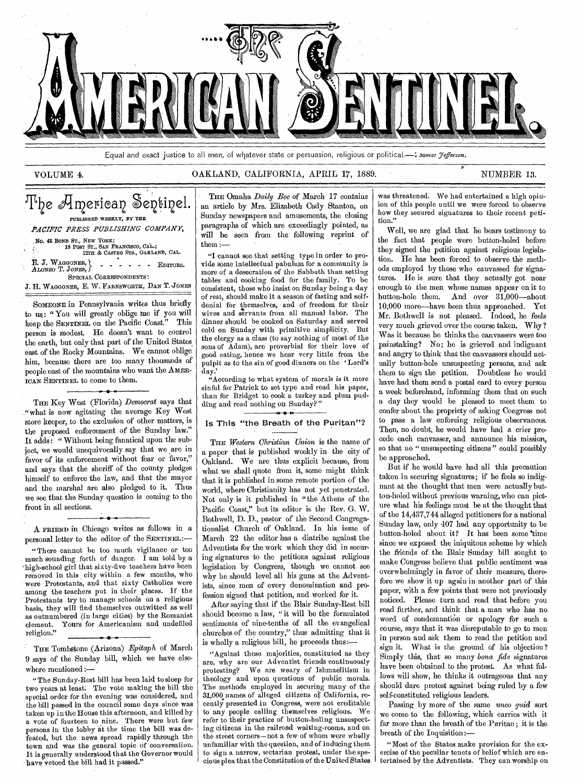

Equal and exact justice to all men, of whatever state or persuasion, religious or political.-1,zomas *7efferson.* 

# VOLUME 4. CAKLAND, CALIFORNIA, APRIL 17, 1889. NUMBER 13.

# The American Sentinel. PUBLISHED WEEKLY, BY THE *PACIFIC PRESS PUBLISHING COMPANY,*  No. 43 BOND ST., NEW YORK;<br>18 POST ST., SAN FRANCISCO, CAL.;<br>12TH & CASTRO STS., OAKLAND, CAL. E. J. WAGGONER, **EDITORS.** EDITORS. SPECIAL CORRESPONDENTS: J. H. WAGGONER, E. W. FARNSWORTH, DAN T. JONES SOMEONE in Pennsylvania writes thus briefly

to us: "You will greatly oblige me if you will keep the SENTINEL on the Pacific Coast." This person is modest. He doesn't want to control the earth, but only that part of the United States, east of the Rocky Mountains. We cannot oblige him, because there are too many thousands of people east of the mountains who want the AMER-ICAN SENTINEL to come to them.

THE Key West (Florida) *Democrat* says that "what is now agitating the average Key West store keeper, to the exclusion of other matters, is the proposed enforcement of the Sunday law." It adds: " Without being fanatical upon the subject, we would unequivocally say that we are in favor of its enforcement without fear or favor," and says that the sheriff of the county pledges himself to enforce the law, and that the mayor and the marshal are also pledged to it. Thus we see that the Sunday question is coming to the front in all sections.

A FRIEND in Chicago writes as follows in a personal letter to the editor of the SENTINEL:—

*• 4\** 

"There cannot be too much vigilance or too much sounding forth of danger. I am told by a `high-school girl that sixty-five teachers have been removed in this city within a few months, who were Protestants, and that sixty Catholics were among the teachers put in their places. If the Protestants try to manage schools on a religious basis, they will find themselves outwitted as well as outnumbered (in large cities) by the Romanist element. Yours for Americanism and undefiled religion."

THE Tombstone (Arizona) *Epitaph* of March 9 says of the Sunday bill, which we have elsewhere mentioned :—

"The Sunday-Rest bill has been laid to sleep for two years at least. The vote making the bill the special order for the evening was considered, and the bill passed in the council some days since was taken up in the House this afternoon, and killed by a vote of fourteen to nine. There were but few persons in the lobby at the time the bill was defeated, but the news spread rapidly through the town and was the general topic of conversation. It is generally understood that the Governor would have vetoed the bill had it passed."

# THE Omaha *Daily Bee* of March 17 contains an article by Mrs. Elizabeth Cady Stanton, on Sunday newspapers and amusements, the closing paragraphs of which are exceedingly pointed, as will be seen from the following reprint of them :—

"I cannot see that setting type in order to provide some intellectual pabulum for a community is more of a desecration of the Sabbath than setting tables and cooking food for the family. To be consistent, those who insist on Sunday being a day of rest, should make it a season of fasting and selfdenial for themselves, and of freedom for their wives and servants from all manual labor. The dinner should be cooked on Saturday and served cold on Sunday with primitive simplicity. But the clergy as a class (to say nothing of most of the sons of Adam), are proverbial for their love of good eating, hence we hear very little from the pulpit as to the sin of good dinners on the 'Lord's day.

"According to what system of morals is it more sinful for Patrick to set type and read his paper, than for Bridget to cook a turkey and plum pudding and read nothing on Sunday?"

# Is This "the Breath of the Puritan"?

THE *Western Christian Union* is the name of a paper that is published weekly in the city of Oakland. We are thus explicit because, from what we shall quote from it, some might think that it is published in some remote portion of the world, where Christianity has not yet penetrated. Not only is it published in "the Athens of the Pacific Coast," but its editor is the Rev. G. W. Bothwell, D. D., pastor of the Second Congregationalist Church of Oakland. In his issue of March 22 the editor has a diatribe against the Adventists for the work which they did in securing signatures to the petitions against religious legislation by Congress, though we cannot see why he should level all his guns at the Adventists, since men of every denomination and profession signed that petition, and worked for it.

After saying that if the Blair Sunday-Rest bill should become a law, " it will be the formulated sentiments of nine-tenths of all the evangelical churches of the country," thus admitting that it is wholly a religious bill, he proceeds thus:—

"Against these majorities, constituted as they are, why are our Adventist friends continuously protesting? We are weary of Ishmaelitism in theology and upon questions of public morals. The methods employed in securing many of the 31,000 names of alleged citizens of California, recently presented in Congress, were not creditable to any people calling themselves religious. We refer to their practice of button-holing unsuspecting citizens in the railroad waiting-rooms, and on the street corners—not a few of whom were wholly unfamiliar with the question, and of inducing them to sign a narrow, sectarian protest, under the specious plea that the Constitution of the United States

was threatened. We had entertained a high opinion of this people until we were forced to observe how they secured signatures to their recent petition."

Well, we are glad that he bears testimony to the fact that people were button-holed before they signed the petition against religious legislation. He has been forced to observe the methods employed by those who canvassed for signatures. He is sure that they actually got near enough to the men whose names appear on it to button-hole them. And over 31,000—about 10,000 more—have been thus approached. Yet Mr. Bothwell is not pleased. Indeed, he feels very much grieved over the course taken. Why? Was it because he thinks the canvassers were too painstaking? No; he is grieved and indignant and angry to think that the canvassers should actually button-hole unsuspecting persons, and ask them to sign the petition. Doubtless he would have had them send a postal card to every person a week beforehand, informing them that on such a day they would be pleased to meet them to confer about the propriety of asking Congress not to pass a law enforcing religious observances. Then, no doubt, he would have had a crier precede each canvasser, and announce his mission, so that no "unsuspecting citizens" could possibly be approached.

But if he would have had all this precaution taken in securing signatures; if he feels so indignant at the thought that men were actually button-holed without previous warning, who can picture what his feelings must be at the thought that of the 14,437,744 alleged petitioners for a national Sunday law, only 407 had any opportunity to be button-holed about it? It has been some time since we exposed the iniquitous scheme by which the friends of the Blair Sunday bill sought to make Congress believe that public sentiment was overwhelmingly in favor of their measure, therefore we show it up again in another part of this paper, with a few points that were not previously noticed. Please turn and read that before you read further, and think that a man who has no word of condemnation or apology for such a course, says that it was disreputable to go to men in person and ask them to read the petition and sign it. What is the ground of his objection ? Simply this, that so many *bona fide* signatures have been obtained to the protest. As what follows will show, he thinks it outrageous that any should dare protest against being ruled by a few self-constituted religious leaders.

Passing by more of the same *unto guid* sort we come to the following, which carries with it far more than the breath of the Puritan ; it is the breath of the Inquisition:—

" Most of the States make provision for the exercise of the peculiar tenets of belief which are entertained by the Adventists. They can worship on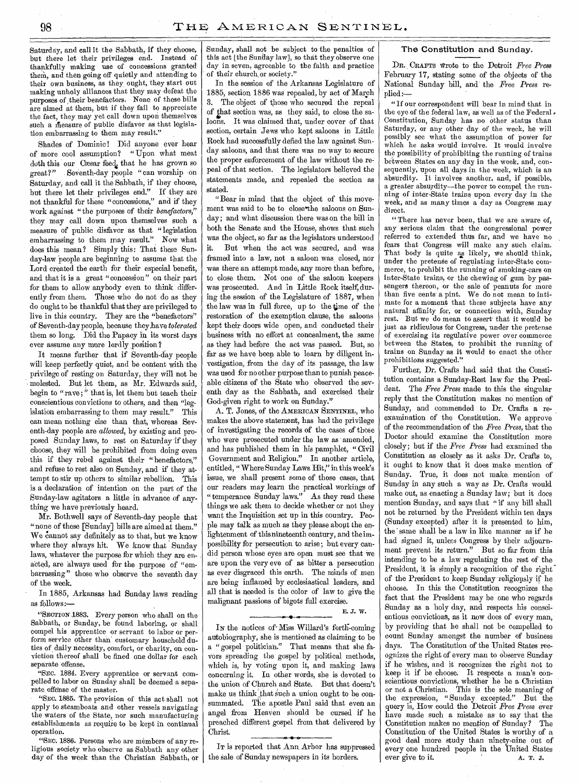Saturday, and call it the Sabbath, if they choose, but there let their privileges end. Instead of thankfully making use of concessions granted them, and then going off quietly and attending to their own business, as they ought, they start out making unholy alliances that they may defeat the purposes of ,their benefactors. None of these bills are aimed at them, but if they fail to appreciate the fact, they may yet call down upon themselves such a measure of public disfavor as that legislation embarrassing to them may result."

Shades of Dominic! Did anyone ever hear of more cool assumption? "Upon what meat doth this our Caesar feed, that he has grown so<br>great?" Seventh-day people "can worship on Seventh-day people "can worship on Saturday, and call it the Sabbath, if they choose, but there let their privileges end." If they are not thankful for these "concessions," and if they work against "the purposes of their *benefactors,"*  they may call down upon themselves such a measure of public disfavor as that "legislation embarrassing to them may result." Now what does this mean ? Simply this: That these Sunday-law people are beginning to assume that the Lord created the earth for their especial benefit, and that it is a great "concession" on their part for them to allow anybody even to think differently from them. Those who do not do as they do ought to be thankful that they are privileged to live in this country. They are the "benefactors" of Seventh-day people, because they.have *tolerated*  them so long. Did the Papacy in its worst days ever assume any more lordly position?

It means further that if Seventh-day people will keep perfectly quiet, and be content with the privilege of resting on Saturday, they will not be molested. But let them, as Mr. Edwards said, begin to " rave ; " that is, let them but teach their conscientious convictions to others, and then "legislation embarrassing to them may result." This can mean nothing else than that, whereas Seventh-day people are *allowed,* by existing and proposed Sunday laws, to rest on Saturday if they choose, they will be prohibited from doing even this if they rebel against their "benefactors," and refuse to rest also on Sunday, and if they attempt to stir up others to similar rebellion. This is a declaration of intention on the part of the Sunday-law agitators a little in advance of anything we have previously heard.

Mr. Bothwell says of Seventh-day people that " none of these [Sunday] bills are aimed at them." We cannot say definitely as to that, but we know where they always hit. We know that Sunday laws, whatever the purpose for which they are enacted, are always used for the purpose of "embarrassing" those who observe the seventh day of the week.

In 1885, Arkansas had Sunday laws reading as follows:—

"SECTION 1883. Every person who shall on the Sabbath, or Sunday, be found laboring, or shall compel his apprentice or servant to labor or perform service other than customary household duties of daily necessity, comfort, or charity, on conviction thereof shall be fined one dollar for each separate offense.

"SEC. 1884. Every apprentice or servant compelled to labor on Sunday shall be deemed a separate offense of the master.

"SEc. 1885. The provision of this act shall not apply to steamboats and other vessels navigating the waters of the State, nor such manufacturing establishments as require to be kept in continual operation.

"SEC. 1886. Persons who are members of any religious society who observe as Sabbath any other day of the week than the Christian Sabbath, or Sunday, shall not be subject to the penalties of this act [the Sunday law], so that they observe one day in seven, agreeable to the faith and practice of their church,or society."

In the session of the Arkansas Legislature of 1885, section 1886 was repealed, by act of March 3. The object of those who secured the repeal of that section was, as they said, to close the saloons. It was claimed that, under cover of that section, certain Jews who kept saloons in Little Rock had successfully defied the law against Sunday saloons, and that there was no way to secure the proper enforcement of the law without the repeal of that section. The legislators believed the statements made, and repealed the section as stated.

"Bear in mind that the object of this movement was said to be to close the saloons on Sunday; and what discussion there was on the bill in both the Senate and the House, shows that such was the object, so far as the legislators understood it. But when the act was secured, and was framed into a law, not a saloon was closed, nor was there an attempt made, any more than before, to close them. Not one of the saloon keepers was prosecuted. And in Little Rock itself, during the session of the Legislature of 1887, when the law was in full force, up to the time of the restoration of the exemption clause, the saloons kept their doors wide open, and conducted their business with no effort at concealment, the same as they had before the act was passed. But, so far as we have been able to learn by diligent investigation, from the day of its passage, the law was used for no other purpose than to punish peaceable citizens of the State who observed the seventh day as the Sabbath, and exercised their God-given right to work on Sunday."

A. T. Jones, of the AMERICAN SENTINEL, who makes the above statement, has had the privilege of investigating the records of the cases of those who were prosecuted under the law as amended, and has published them in his pamphlet, " Civil Government and Religion." In another article, entitled, " Where Sunday Laws Hit," in this week's issue, we shall present some of those cases, that our readers may learn the practical workings of " temperance Sunday laws." As they read these things we ask them to decide whether or not they want the Inquisition set up in this country. People may talk as much as they please about the enlightenment of thisnineteenth century, and the impossibility for persecution to arise; but every candid person whose eyes are open must see that we are upon the very eve of as bitter a persecution as ever disgraced this earth. The minds of men are being inflamed by ecclesiastical leaders, and all that is needed is the color of law to give the malignant passions of bigots full exercise. E. J. W.

IN the notices of-Miss Willard's forth-coming autobiography, she is mentioned as claiming to be a "gospel politician." That means that she favors spreading the gospel by political methods, which is, by voting upon it, and making laws concerning it. In other words, she is devoted to the union of Church and State. But that doesn't make us think that such a union ought to be consummated. The apostle Paul said that even an angel from Heaven should be cursed if he preached different gospel from that delivered by Christ.

IT is reported that Ann. Arbor has suppressed the sale of Sunday newspapers in its borders.

# The Constitution and Sunday.

DR. CRAFTS wrote to the Detroit *Free Press*  February 17, stating some of the objects of the National Sunday bill, and the *Free Press* replied:—

" If our correspondent will bear in mind that in the eye of the federal law, as well as of the Federal. Constitution, Sunday has no other status than Saturday, or any other day of the week, he will possibly see what the assumption of power for which he asks would involve. It would involve the possibility of prohibiting the running of trains between States on any day in the week, and, consequently, upon all days in the week, which is an absurdity. It involves another, and, if possible, a greater absurdity—the power to compel the running of inter-State trains upon every day in the week, and as many times a day as Congress may direct.

" There has never been, that we are aware of, any serious claim that the congressional power referred to extended thus far, and we have no fears that Congress will make any such claim. That body is quite as likely, we should think, under the pretense of regulating inter-State commerce, to prohibit the running of smoking-cars on inter-State trains, or the chewing of gum by passengers thereon, or the sale of peanuts for more than five cents a pint. We do not mean to intimate for a moment that these subjects have any natural affinity for, or connection with, Sunday rest. But we do mean to assert' that it would be just as ridiculous for Congress, under the pretense of exercising its regulative power over commerce between the States, to prohibit the running of trains on Sunday as it would to enact the other prohibitions suggested."

Further, Dr. Crafts had said that the Constitution contains a Sunday-Rest law for the President. The *Free Press* made to this the singular reply that the Constitution makes no mention of Sunday, and commended to Dr. Crafts a reexamination of the Constitution. We approve of the recommendation of the *Free Press,* that the Doctor should examine the Constitution more closely; but if the *Free Press* had examined the Constitution as closely as it asks Dr. Crafts to, it ought to know that it does make mention of Sunday. True, it does not make mention of Sunday in any such a way as Dr. Crafts would make out, as enacting a Sunday law; but it does mention Sunday, and says that " if any bill shall not be returned by the President within ten days (Sunday excepted) after it is presented to him, the same shall be a law in like manner as if he had signed it, unless Congress by their adjournment prevent its return." But so far from this intending to be a law regulating the rest of the President, it is simply a recognition of the right of the President to keep Sunday religiously if he choose. In this the Constitution recognizes the fact that the President may be one who regards Sunday as a holy day, and respects his conscientious convictions, as it now does of every man, by providing that he shall not be compelled to count Sunday amongst the number of business days. The Constitution of the United States recognizes the right of every man to observe Sunday if he wishes, and it recognizes the right not to keep it if he choose. It respects a man's conscientious convictions, whether he be a Christian or not a Christian. This is the sole meaning of the expression, "Sunday excepted." But the query is, How could the Detroit *Free Press* ever have made such a mistake as to say that the Constitution makes no mention of Sunday? The Constitution of the United States is worthy of a good deal more study than ninety-nine out of every one hundred people in the United States ever give to it.  $A \cdot T$ . J. ever give to it.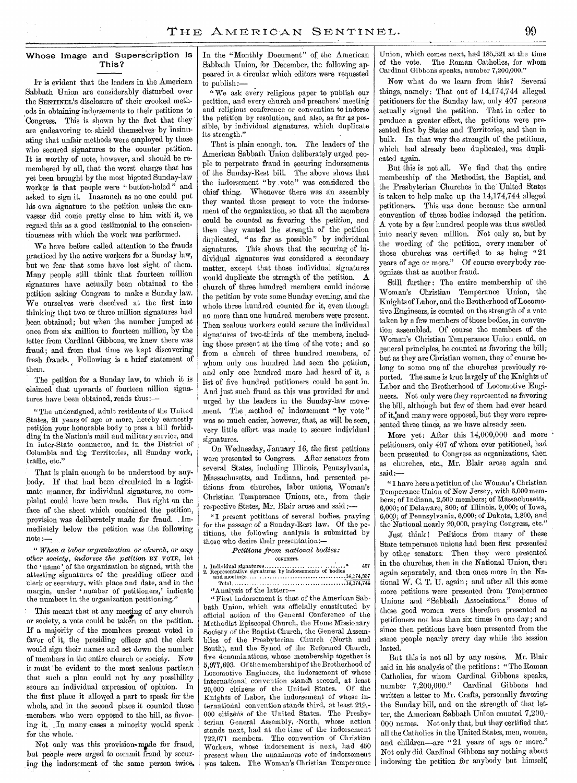# Whose Image and Superscription Is This?

IT is evident that the leaders in the American Sabbath Union are considerably disturbed over the SENTINEL'S disclosure of their crooked methods in obtaining indorsements to their petitions to Congress. This is shown by the fact that they are endeavoring to shield themselves' by insinuating that unfair methods were employed by those who secured signatures to the counter petition. It is worthy of note, however, and should be remembered by all, that the worst charge that has yet been brought by the most bigoted Sunday-law worker is that people were " button-holed" and asked to sign it. Inasmuch as no one could put his own signature to the petition unless the canvasser did come pretty close to him with it, we regard this as a good testimonial to the conscientiousness with which the work was performed.

We have before called attention to the frauds practiced by the active workers for a Sunday law, but we fear that some have lost sight of them. Many people still think that fourteen million signatures have actually been obtained to the petition asking Congress to make a Sunday law. We ourselves were deceived at the first into thinking that two, or three million signatures had been obtained; but when the number jumped at once from six million to fourteen million, by the letter from Cardinal Gibbons, we knew there was fraud; and from that time we kept discovering fresh frauds. Following is a brief statement of them.

The petition for a Sunday law, to which it is claimed that upwards of fourteen nillion signatures have been obtained, reads thus:—

" The undersigned, adult residents of the United States, 21 years of age or more, hereby earnestly petition your honorable body to pass a bill forbidding in the Nation's mail and military service, and in inter-State commerce, and in the District of Columbia and the Territories, all Sunday work, traffic, etc."

That is plain enough to be understood by anybody. If that had been circulated in a legitimate manner, for individual signatures, no complaint could have been made. But right on the face of the sheet which contained the petition, provision was deliberately made for fraud. , Immediately below the petition was the following note

*" When a labor organization or church, or any other society, indorses the petition* BY VOTE, let the ' name 'of the organization be signed, with the attesting signatures of the presiding officer and 'clerk or secretary, with place and date, and in the margin, under 'number of petitioners,' indicate the numbers in the organization petitioning.'

This meant that at any meeting of any church or society, a vote could be taken on the petition. If a majority of the members present voted in favor of it, the presiding officer and the clerk would sign their names and set down the number of members in the entire church or society. Now it must be evident to the most zealous partisan that such a plan could not by any possibility secure an individual expression of opinion. In the first place it allowed a part to speak for the whole, and in the second place it counted those members who were opposed to the bill, as favoring it. In many cases a minority would speak for the whole.

Not only was this provision-made for fraud, but people were urged to commit fraud by securing the indorsement of the same person twice. In the "Monthly Document" of the American Sabbath Union, for December, the following appeared in a circular which editors were requested to publish:—

" We ask every religious paper to publish our petition, and every church and preachers' meeting and religious conference or convention to indorse the petition by resolution, and also, as far as possible, by individual signatures, which duplicate its strength."

That is plain enough, too. The leaders of the American Sabbath Union deliberately urged people to perpetrate fraud in securing indorsements of the Sunday-Rest bill. The above shows that the indorsement "by ,vote" was considered the chief thing. Whenever there was an assembly they wanted those present to vote the indorsement of the organization, so that all the members could be counted as favoring the petition, and then they wanted the strength of the petition duplicated, " as far as possible" by individual signatures. This shows that the securing of individual signatures was considered a secondary matter, except that those individual signatures would duplicate the strength of the petition. A church of three hundred members could indorse the petition by vote some Sunday evening, and the whole three hundred counted for it, even though no more than one hundred members were present. Then zealous workers could secure the individual signatures of two-thirds of the members, including those present at the time of the vote; and so from a church of three hundred members, of whom only one hundred had seen the petition, and only one hundred more had heard of it, a list of five hundred petitioners could be sent in. And just such fraud as this was provided for and urged by the leaders in the Sunday-law movement. The method of indorsement "by vote" was so much easier, however, that, as will be seen, very little effort was made to secure individual signatures.

On Wednesday, January 16, the first petitions were presented to Congress. After senators from several States, including Illinois, Pennsylvania, Massachusetts, and Indiana, had presented petitions from churches, labor unions, Woman's Christian Temperance Unions, etc., from their respective States, Mr. Blair arose and said:-

"I present petitions of several bodies, praying for the passage of a Sunday-Rest law. Of the petitions, the following analysis is submitted by those who desire their presentation:—

Petitions *from national bodies:*  CONTENTS.

1. Individual signatures  $\ldots$   $\ldots$   $\ldots$   $\ldots$   $\ldots$  407<br>
2. Representative signatures by indorsements of bodies and meetings  $\ldots$   $\ldots$   $\ldots$   $\ldots$   $\ldots$   $\ldots$   $\ldots$   $\ldots$   $\ldots$   $\ldots$   $\ldots$   $\ldots$   $\ldots$   $\ldots$   $\ldots$   $\ld$ 

Total .............................14,174,744 "Analysis of the latter:—

"First indorsement is that of the American Sabbath Union, which was officially constituted by official action of the General Conference of the Methodist Episcopal Church, the Home Missionary Society of the Baptist Church, the General Assemblies of the Presbyterian Church (North and South), and the Synod of the Reformed Church, five denominations, whose membership together is 5,977,693. Of the membership of the Brotherhood of Locomotive Engineers, the indorsement of whose international convention stand% second, at least 20,000 citizens of the United States. Knights of Labor, the indorsement of whose international convention stands third, at least 219,- 000 citizens of the United States. The Presbyterian General Assembly, North, whose action stands next, had at the time of the indorsement 722,071 members. The convention of Christian Workers, whose indorsement is next, had 450 present when the unanimous vote of indorsement was taken. The Woman's Christian Temperance

Union, which comes next, had 185,521 at the time of the vote. The Roman Catholics, for whom Cardinal Gibbons speaks, number 7,200,000."

Now what do we learn from this? Several things, namely: That out of 14,174,744 alleged petitioners for the Sunday law, only 407 persons actually signed the petition. That in order to produce a greater effect, the petitions were presented first by States and Territories, and then in bulk. In that way the strength of the petitions, which had already been duplicated, was duplicated again.

But this is not all. We find that the entire membership of the Methodist, the Baptist, and the Presbyterian Churches in the United States is taken to help make up the 14,174,744 alleged petitioners. This was done because the annual convention of those bodies indorsed the petition. A vote by a few hundred people was thus swelled into nearly seven million. Not only so, but by the wording of the petition, every member of those churches was certified to as being "21 years of age or more." Of course everybody recognizes that as another fraud.

Still further: The entire membership of the Woman's Christian Temperance Union, the Knights of Labor, and the Brotherhood of Locomotive Engineers, is counted on the strength of a vote taken by a few members of those bodies, in convention assembled. Of course the members of the -Woman's Christian Temperance Union could, on general principles, be counted as favoring the bill; but as they are Christian women, they of course belong to some one of the churches previously reported. The same is true largely of the Knights of Labor and the Brotherhood of Locomotive Engineers. Not only were they represented as favoring the bill, although but few of them had ever heard of it,:and many were opposed, but they were represented three times, as we have already seen.

More yet: After this 14,000,000 and more petitioners, only 407 of whom ever petitioned, had been presented to Congress as organizations, then as churches, etc., Mr. Blair arose again and said:

I have here a petition of the Woman's Christian Temperance Union of New Jersey, with 6,000 members; of Indiana, 2,500 members; of Massachusetts, 6,000; of Delaware, 800; of Illinois, 9,000; of Iowa, 6,009; of Pennsylvania, 6,000; of Dakota, 1,800, and the National nearly 20,000, praying Congress, etc."

Just think! Petitions from many of these State temperance unions had been first presented by other senators: Then they were presented in the churches, then in the National Union, then again separately, and then once more in the National W. C. T. U. again ; and after all this some more petitions were presented from Temperance Unions and "Sabbath Associations." Some of these good women were therefore presented as petitioners not less than six times in one day; and since then petitions have been presented from the same people nearly every day while the session lasted.

But this is not all by any means. Mr. Blair said in his analysis of the petitions: "The Roman Catholics, for whom Cardinal Gibbons speaks,<br>number 7.200.000." Cardinal Gibbons had number  $7,200,000."$ written a letter to Mr. Crafts, personally favoring the Sunday bill, and on the strength of that letter, the American Sabbath Union counted 7,200,- 000 names. Not only that, but they certified that all the Catholics in the United States, men, women, and children—are "21 years of age or more." Not only did Cardinal Gibbons say nothing about indorsing the petition for anybody but himself,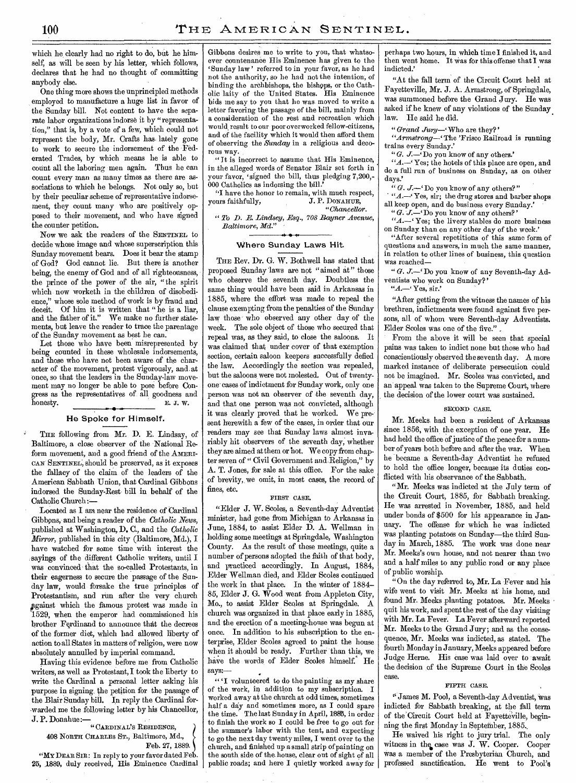which he clearly had no right to do, but he himself; as will be seen by his letter, which follows, declares that he had no thought of committing anybody else.

One thing more shows the unprincipled methods employed to manufacture a huge list in favor of the Sunday bill. Not content to have the separate labor organizations indorse it by "representation," that is, by a vote of a few, which could not represent the body, Mr. Crafts has lately gone to work to secure the indorsement of the Federated Trades, by which means he is able to count all the laboring men again. Thus he can count every man as many times as there are associations to which he belongs. Not only so, but by their peculiar scheme of representative indorsement, they count many who are positively opposed to their movement, and who have signed the counter petition.

Now we ask the readers of the SENTINEL to decide whose image and whose superscription this Sunday movement bears. Does it bear the stamp of God? God cannot lie. But there is another being, the enemy of God and of all righteousness, the prince of the power of the air, "the spirit which now worketh in the children of disobedience," whose sole method of work is by fraud and deceit. Of him it is written that " he is a liar, and the father of it." We make no further statements, but leave the reader to trace the parentage of the Sunday movement as best he can.

Let those who have been misrepresented by being counted in these wholesale indorsements, and those who have not been aware of the character of the movement, protest vigorously, and at once, so that the leaders in the Sunday-law movement may no longer be able to pose before Congress as the representatives of all goodness and honesty. E. J. W.

# He Spoke for Himself.

THE following from Mr. D. E. Lindsay, of Baltimore, a close observer of the National Reform movement, and a good friend of the AMERI-CAN SENTINEL, should be preserved, as it exposes the fallacy of the claim of the leaders of the American Sabbath Union, that Cardinal. Gibbons indorsed the Sunday-Rest bill in behalf of the Catholic Church:—

Located as I am near the residence of Cardinal Gibbons, and being a reader of the *Catholic Hews,*  published at Washington, D. C., and the *Catholic Mirror,* published in this city (Baltimore, Md.), I have watched for some time with interest the sayings of the different Catholic writers, until I was convinced that the so-called Protestants, in their eagerness to secure the passage of the Sunday law, would forsake the true principles of Protestantism, and run after the very church Against which the famous protest was made in 1529, when the emperor had commissioned his brother Ferdinand to announce that the decrees of the former diet, which had allowed liberty of action to all States in matters of religion, were now absolutely annulled by imperial command.

Having this evidence before me from Catholic -writers, as well as Protestant, I took the liberty to write the Cardinal a personal letter asking his purpose in signing, the petition for the passage of the Blair Sunday bill. In reply the Cardinal for- •warded me the following letter by his Chancellor, J. P. Donahue:—

"CARDINAL'S RESIDENCE, 408 NORTH CHARLES ST., Baltimore, Md., Feb. 27, 1889.

"MY DEAR SIR: In reply to your favor dated Feb. 25, 1889, duly received, His Eminence Cardinal Gibbons desires me to write to you, that whatsoever countenance His Eminence has given to the Sunday law' referred to in your favor, as he had not the authority, so he had not the intention, of binding the archbishops, the bishops, or the Catholic laity of the United States. His Eminence bids me say to you that he was moved to write a letter favoring the passage of the bill, mainly from a consideration of the rest and recreation which would result to our poor overworked fellow-citizens, and of the facility which it would then afford them of observing the *Sunday* in a religious and decorous way.

"It is incorrect to assume that His Eminence, in the alleged words of Senator Blair set forth in your favor, 'signed the bill, thus pledging 7,200,- 000 Catholics as indorsing the bill.'

"I have the honor to remain, with much respect,<br>
vurs faithfully, J. P. DONAHUE, yours faithfully, *"Chancellor.* 

*" To D. E. Lindsey, Esq., 708 Rayner Avenue, Baltimore, Md."* 

# Where Sunday Laws Hit.

THE Rev. Dr. G. W. Bothwell has stated that proposed Sunday 'laws are not "aimed at" those who observe the seventh day. Doubtless the same thing would have been said in Arkansas in 1885, where the effort was made to repeal the clause exempting from the penalties of the Sunday law those who observed any other day of the week. The sole object of those who secured that repeal was, as they said, to close the saloons, It was claimed that under cover of that exemption section, certain saloon keepers successfully defied the law. Accordingly the section was repealed, but the saloons were not molested. Out of twentyone° cases of indictment for Sunday work, only one person was not an observer of the seventh day, and that one person was not convicted, although it was clearly proved that he worked. We present herewith a few of the cases, in order that our readers may see that Sunday laws almost invariably hit observers of the seventh day; whether they are aimed at them or hot. We copy from chapter seven of " Civil Government and Religion," by A. T. Jones, for sale at this office. For the sake of brevity, we omit, in most cases, the record of fines, etc.

# FIRST CASE.

"Elder J. W. Scoles, a Seventh-day Adventist minister, had gone from Michigan to Arkansas in June, 1884, to assist Elder D. A. Wellman in holding some meetings at Springdale, Washington County. As the result of these meetings, quite a number of persons adopted the faith of that body, and practiced accordingly. In August, 1884, Elder Wellman died, and Elder Scoles continued the work in that place. In the winter of 1884- 85, Elder J. G. Wood went from Appleton City, Mo., to assist Elder Scoles at Springdale. A church was organized in that place early in 1885, and the erection of a meeting-house was begun at once. In addition to his subscription to the enterprise, Elder Scoles agreed to paint the house when it should be ready. Further than this, we have the words of Elder Scoles himself. He says:—

"'I volunteered to do the painting as my share of the work, in addition to my subscription. I worked away at the church at odd times, sometimes half a day and sometimes more, as I could spare the time. The last Sunday in April, 1885, in order to finish the work so I could be free to go out for the summer's labor with the tent, and expecting to go the next day twenty miles, I went over to the church, and finished up a small strip of painting on the south side of the house, clear out of sight of all public roads; and here I quietly worked away for

perhaps two hours, in which time I finished it, and then went home. It was for this offense that I was indicted.'

"At the fall term of the Circuit Court held at Fayetteville, Mr. J. A. Armstrong, of Springdale, was summoned before the Grand Jury. He was asked if he knew of any violations of the Sunday. law. He said he did.

*"Grand Jury—'* Who are they?'

*"Armstrong—'* The 'Frisco Railroad is running trains every Sunday.'

*"G. J.—'* Do you know of any others.'

"A .- 'Yes; the hotels of this place are open, and do a full run of business on Sunday, as on other days.

" G. J. - Do you know of any others?"

*"A.—'* Yes, sir; the drug stores and barber shops all keep open, and do business every Sunday.'

" G. J. - 'Do you know of any others?'

*"A.—'* Yes; the livery stables do more business on Sunday than on any other day of the week.'

"After several repetitions of this same form of questions and answers, in much the same manner, in relation to other lines of business, this question was reached—

" *G. J.*-'Do you know of any Seventh-day Adventists who work on Sunday?'

" $A -$ 'Yes, sir.'

"After getting from the witness the names of his brethren, indictments were found against five persons, all of whom were Seventh-day Adventists. Elder Scoles was one of the five."

From the above it will be seen that special pains was taken to indict none but those who had conscientiously observed the seventh day. A more marked instance of deliberate persecution could not be imagined. Mr. Scoles was convicted, and an appeal was taken to the Supreme Court, where the decision of the lower court was sustained.

## SECOND CASE.

Mr. Meeks had been a resident of Arkansas since 1856, with the exception of one year. He had held the office of justice of the peace for a number of years both before and after the war. When he became a Seventh-day Adventist he refused to hold the office longer, because its duties conflicted with his observance of the Sabbath.

"Mr. Meeks was indicted at the July term of the Circuit Court, 1885, for Sabbath breaking. He was arrested in November, 1885, and held under bonds of \$500 for his appearance in January. The offense for which he was indicted was planting potatoes on Sunday—the third Sunday in March, 1885. The work was done near Mr. Meeks's own house, and not nearer than two and a half miles to any public road or any place of public worship.

"On the day referred to, Mr. La Fever and his wife went to visit Mr. Meeks at his home, and found Mr. Meeks planting potatoes. Mr. Meeks quit his work, and spent the rest of the day visiting with Mr. La Fever. La Fever afterward reported Mr. Meeks to the Grand Jury; and as the consequence, Mr. Meeks was indicted, as stated. The fourth Monday in January, Meeks appeared before Judge Herne. His case was laid over to await the decision of the Supreme Court in the Scoles case.

# FIFTH CASE.

" James M. Pool, a Seventh-day Adventist, was indicted for Sabbath breaking, at the fall term of the'Circuit Court held at Fayetteville, beginning the first Monday in Septeinber, 1885.,

He waived his right to jury trial. The only witness in the case was J. W. Cooper. Cooper was a member of the Presbyterian Church, and professed sanctification. He went to Pool's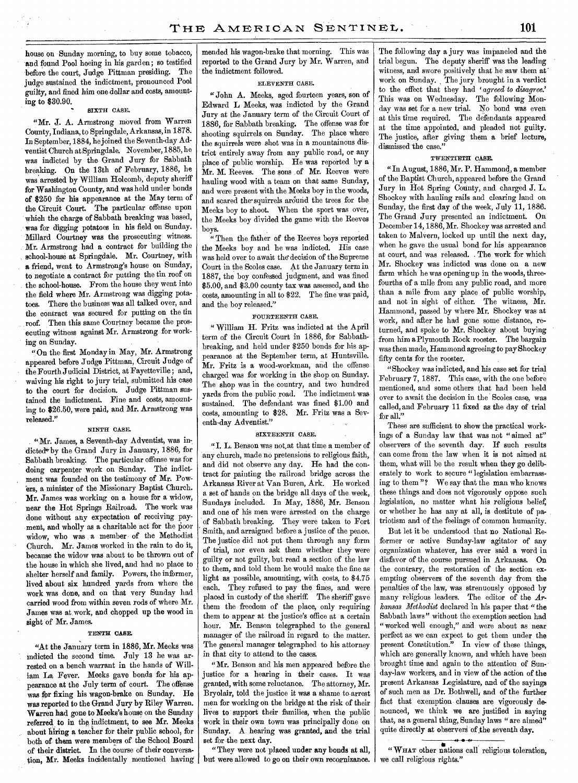house on Sunday morning, to buy some tobacco, and found Pool hoeing in his garden; so testified before the court, Judge Pittman presiding. The judge sustained the indictment, pronounced Pool guilty, and fined him one dollar and costs, amounting to \$30.90.

# SIXTH CASE.

"Mr. J. A. Armstrong moved from Warren County, Indiana, to Springdale, Arkansas, in 1878. In September, 1884, he joined the Seventh-day Adventist Church at Springdale. November, 1885, he was indicted by the Grand Jury for Sabbath breaking. On the 13th of February, 1886, he was arrested by William Holcomb, deputy sheriff for Washington County, and was held under bonds of \$250 for his appearance at the May term of the Circuit Court. The particular offense upon which the charge of Sabbath breaking was based, was for digging potatoes in his field on Sunday. Millard Courtney was the prosecuting witness. Mr. Armstrong had a contract for building the school-house at Springdale. Mr. Courtney, with a friend, went to Armstrong's house on Sunday, to negotiate a contract for putting the tin roof on the school-house. From the house they went into the field where Mr. Armstrong was digging potatoes. There the business was all talked over, and the contract was secured for putting on the tin roof. Then this same Courtney became the prosecuting witness against Mr. Armstrong for working on Sunday.

"On the first Monday in May, Mr. Armstrong appeared before Judge Pittman, Circuit Judge of the Fourth Judicial District, at Fayetteville ; and, waiving his right to jury trial, submitted his case to the court for decision. Judge Pittman sustained the indictment. Fine and costs, amounting to \$26.50, were paid, and Mr. Armstrong was released."

# NINTH CASE.

"Mr. James, a Seventh-day Adventist, was indicted\* by the Grand Jury in January, 1886, for Sabbath breaking; The particular offense was for doing carpenter work on Sunday. The indictment was founded on the testimony of Mr. Powers, a minister of the Missionary Baptist Church. Mr. James was working on a house for a widow, near the Hot Springs Railroad. The work was done without any expectation of receiving payment, and wholly as a charitable act for the poor widow, who was a member of the Methodist Church. Mr. James worked in the rain to do it, because the widow was about to be thrown out of the house in which she lived, and had no place to shelter herself and family. Powers, the informer, lived about six hundred yards from where the work was done, and on that very Sunday had carried wood from within seven rods of where Mr. James was at work, and chopped up the wood in sight of Mr. James.

### TENTH CASE.

"At the January term in 1886, Mr. Meeks was indicted the second time. July 13 he was arrested on a bench warrant in the hands of William La Fever. Meeks gave bonds for his appearance at the July term of court. The offense was for fixing his wagon-brake on Sunday. He was reported to the Grand Jury by Riley Warren. Warren had gone to Meeks's house on the Sunday referred to in the indictment, to see Mr. Meeks about hiring a teacher for their public school, for both of them were members of the School Board of their district. In the course of their conversation, Mr. Meeks incidentally mentioned having

mended his wagon-brake that morning. This was reported to the Grand Jury by Mr. Warren, and the indictment followed.

# ELEVENTH CASE.

"John A. Meeks, aged fourteen years, son of Edward L Meeks, was indicted by the Grand Jury at the January term of the Circuit Court of 1886, for Sabbath breaking. The offense was for shooting squirrels on Sunday. The place where the squirrels were shot was in a mountainous district entirely away from any public road, or any place of public worship. He was reported by a Mr. M. Reeves. The sons of Mr. Reeves were hauling wood with a team on that same Sunday, and were present with the Meeks boy in the woods, and scared the-squirrels around the trees for the Meeks boy to shoot. When the sport was over, the Meeks boy divided the game with the Reeves boys.

" Then the father of the Reeves boys reported the Meeks boy and he was indicted. His case was held over to await the decision of the Supreme Court in the Scoles case. At the January term in 1887, the boy confessed judgment, and was fined \$5.00, and \$3.00 county tax was assessed, and the costs, amounting in all to \$22. The fine was paid, and the boy released."

# FOURTEENTH CASE.

" William H. Fritz was indicted at the April term of the Circuit Court in 1886, for Sabbathbreaking, and held under \$250 bonds for his appearance at the September term, at Huntsville. Mr. Fritz is a wood-workman, and the offense charged was for working in the shop on Sunday. The shop was in the country, and two hundred yards from the public road. The indictment was sustained. The defendant was fined \$1.00 and costs, amounting to \$28. Mr. Fritz was a Seventh-day Adventist."

# SIXTEENTH CASE.

"I. L. Benson was not at that time a member of any church, made no pretensions to religious faith, and did not observe any day. He had the contract for painting the railroad bridge across the Arkansas River at Van Buren, Ark. He worked a set of hands on the bridge all days of the week, Sundays included. In May, 1886, Mr. Benson and one of his men were arrested on the charge of Sabbath breaking. They were taken to Fort Smith, and arraigned before a justice of the peace. The justice did not put them through any form of trial, nor even ask them whether they were guilty or not guilty, but read a section of the law to them, and told them he would make the fine as light as possible, amounting, with costs, to \$4.75 each. They refused to pay the fines, and were placed in custody of the sheriff. The sheriff gave them the freedom of the place, only requiring them to appear at the justice's office at a certain hour. Mr. Benson telegraphed to the general manager of the railroad in regard to the matter. The general manager telegraphed to his attorney in that city to attend to the cases.

"Mr. Benson and his men appeared before the justice for a hearing in their cases. It was granted, with some reluctance. The attorney, Mr. Bryolair, told the justice it was a shame to arrest men for working on the bridge at the risk of their lives to support their families, when the public work in their own town was principally done on Sunday. A hearing was granted, and the trial set for the next day.

"They were not placed under any bonds at all, but were allowed to go on their own recognizance.

The following day a jury was impaneled and the trial begun. The deputy sheriff was the leading witness, and swore positively that he saw them at work on Sunday. The jury brought in a verdict to the effect that they had 'agreed to disagree.' This was on Wednesday. The following Monday was set for a new trial. No bond was even at this time required. The defendants appeared at the time appointed, and pleaded not guilty. The justice, after giving them a brief lecture, dismissed the case."

# TWENTIETH CASE.

"In August, 1886, Mr. P. Hammond, a member of the Baptist Church, appeared before the Grand Jury in Hot Spring County, and charged J. L. Shockey with hauling rails and clearing land on Sunday, the first day of the week, July 11, 1886. The Grand Jury presented an indictment. On December 14, 1886, Mr. Shockey was arrested and taken to Malvern, locked up until the next day, when he gave the usual bond for his appearance at court, and was released. . The work for which Mr. Shockey was indicted was done on a new farm which he was opening up in the woods, threefourths of a mile from any public road, and more than a mile from any place of public worship, and not in sight of either. The witness, Mr. Hammond, passed by where Mr. Shockey was at work, and after he had gone some distance, returned, and spoke to Mr. Shockey about buying from him a Plymouth Rock rooster. The bargain was then made, Hammond *agreeing* to pay Shockey *fifty* cents for the rooster.

"Shockey was indicted, and his case set for trial February 7, 1887. This case, with the one before mentioned, and some others that had been held over to await the decision in the Scoles case, was called, and February 11 fixed as the day of trial for all."

These are sufficient to show the practical workings of a Sunday law that was not " aimed at" observers of the seventh day. If such results can come from the law when it is not aimed at them, what will be the result when they go deliberately to work to secure " legislation embarrassing to them "? We say that the man who knows these things and does not vigorously oppose such legislation, no matter what his religious belief, or whether he has any at all, is destitute of patriotism and of the feelings of common humanity.

But let it be understood that no National Reformer or active Sunday-law agitator of any organization whatever, has ever said a word in disfavor of the course pursued in Arkansas. On the contrary, the restoration of the section exempting observers of the seventh day from the penalties of the law, was strenuously opposed by many religious leaders. The editor of the *Arkansas Methodist* declared in his paper that "the Sabbath laws" without the exemption section had "worked well enough," and were about as near perfect as we can expect to get them under the present Constitution." In view of these things, which are generally known, and which have been brought time and again to the attention of Sunday-law workers, and in view of the action of the present Arkansas Legislature, and of the sayings of such men as Dr. Bothwell, and of the further fact that exemption clauses are vigorously denounced, we think we are justified in saying that, as a general thing, Sunday laws " are aimed" quite directly at observers of the seventh day.

" WHAT other nations call religious toleration, we call religious rights."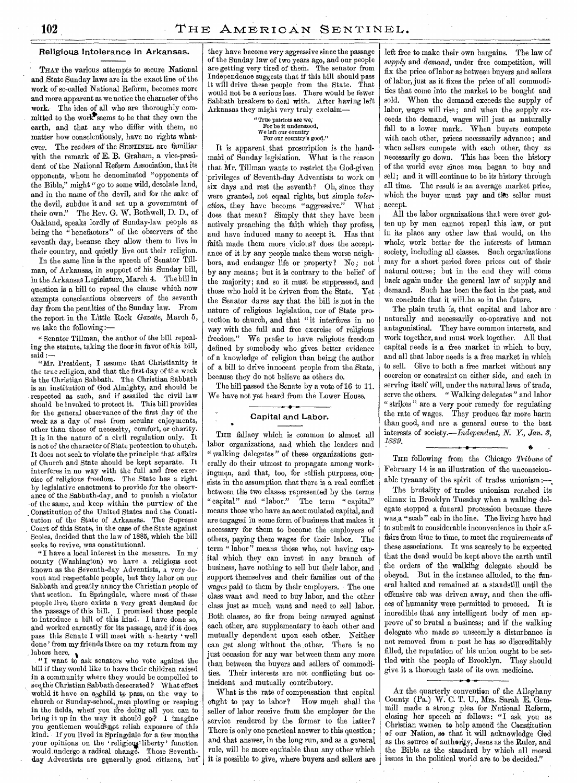# Religious Intolerance in Arkansas.

THAT the various attempts to secure National and State Sunday laws are in the exact line of the work of so-called National Reform, becomes more and more apparent as we notice the character of the work.- The idea of all who are thoroughly committed to the work seems to be that they own the earth, and that any who differ with them, no matter how conscientiously, have no rights whatever. The readers of the SENTINEL are familiar with the remark of E. B. Graham, a vice-president of the National Reform Association, that its opponents, whom he denominated "opponents of the Bible," might " go to some wild, desolate land, and in the name of the devil, and for the sake of the devil, subdue it and set up a government of their own." The Rev. G. W. Bothwell; D. D., of Oakland, speaks lordly of Sunday-law people as being the " benefactors" of the observers of the seventh day, because they allow them to live in their country, and quietly live out their religion.

In the same line is the speech of Senator Tillman, of Arkansas, in support of his Sunday bill, in the Arkansas Legislature, March 4. The bill in question is a bill to repeal the clause which now exempts conscientious observers of the seventh day from the penalties of the Sunday law. From the report in the Little Rock Gazette, March 5, we take the following:—

" Senator Tillman, the author of the bill repealing the statute, taking the floor in favor of his bill, said :—

"Mr. President, I assume that Christianity is the true religion, and that the first day of the week is the Christian Sabbath. The Christian Sabbath is an institution of God Almighty, and should be respected as such, and if assailed the civil law should be invoked to protect it. This bill provides for the general observance of the first day of the week as a day of rest from secular enjoyments, other than those of necessity, comfort, or charity. It is in the nature of a civil regulation only. It is not of the character of State protection to church. It does not seek to violate the principle that affairs of Church and State should be kept separate. It interferes in no way with the full and free exercise of religious freedom. The State has a right by legislative enactment to provide for the observance of the Sabbath-day, and to punish a violator of the same, and keep within the purview of the Constitution of the United States and the Constitution of the State of Arkansas. The Supreme Court of this State, in the case of the State against Scoles, decided that the law of 1885, which the bill seeks to revive, was constitutional.

"I have a local interest in the measure. In my county (Washington) we have a religious sect known as the Seventh-day Adventists, a very devout and respectable people, but they labor on our Sabbath and greatly annoy the Christian people of that section. In Springdale, where most of these people live, there exists a very great demand for the passage of this bill. I promised those people to introduce a bill of this kind. I have done so, and worked earnestly for its passage, and if it does pass this Senate I will meet with a hearty 'well done' from my friends there on my return from my labors here.

"I want to ask senators who vote against the bill if they would like to have their children raised in a community where they would be compelled to see the Christian Sabbath desecrated ? What effect would it have on a schild to pass, on the way to church or Sunday-school, men plowing or reaping in the fields, when you are doing all you can to bring it up in the way it should go:? I imagine you gentlemen would not relish exposure of this kind. If you lived in Springdale for a few months your opinions on the 'religious' liberty' function would undergo a radical change. Those Seventhday Adventists are generally good citizens, but they have become very aggressive since the passage of the Sunday law of two years ago, and our people are getting very tired of them. The senator from Independence suggests that if this bill should pass it will drive these people from the State. That would not be a serious loss. There would be fewer Sabbath breakers to deal with. After having left Arkansas they might very truly exclaim—

# " True patriots are we; For be it understood, We left our country For our country's good."

It is apparent that proscription is the handmaid of Sunday legislation. What is the reason that Mr. Tillman wants to restrict the God-given privileges of Seventh-day Adventists to work on six days and rest the seventh? Oh, since they were granted, not equal rights, but simple *toleration,* they have become "aggressive." What does that mean? Simply that they have been actively preaching the faith which they profess, and have induced many to accept it. Has that faith made them more vicious? does the acceptance of it by any people make them worse neighbors, and endanger life or property? No; not by any means; but it is contrary to the' belief of the majority; and so it must be suppressed, and those who hold it be driven from the State. Yet the Senator dares say that the bill is not in the nature of religious legislation, nor of State protection to church, and that "it interferes in no *way* with the full and free exercise of religious freedom." We prefer to have religious freedom defined by somebody who gives better evidence of a knowledge of religion than being the author of a bill to drive innocent people from the. State, because they do not believe as others do.

The bill passed the Senate by a vote of 16 to 11. We have not yet heard from the Lower House.

# Capital and Labor.

THE fallacy which is common to almost all labor organizations, and which the leaders and " walking delegates " of these organizations generally do their utmost to propagate among workingmen, and that, too, for selfish purposes, consists in the assumption that there is a real conflict between the two classes represented by the terms "capital" and "labor." The term "capital" means those who have an accumulated capital, and are engaged in some form of business that makes it necessary for them to become the employers of others, paying them wages for their labor. The term " labor" means those who, not having capital which they can invest in any branch of business, have nothing to sell but their labor, and support themselves and their families out of the wages paid to them by their employers. The one class want and need to buy labor, and the other class just as much want and need to sell labor. Both classes, so far from being arrayed against each other, are supplementary to each other and mutually dependent upon each other. Neither can get along without the other. There is no just occasion for any war between them any more than between the buyers and sellers of commodities. Their interests are not conflicting but coincident and mutually contributory.

What is the rate of compensation that capital ought to pay to labor? How much shall the seller of labor receive from the employer for the service rendered by the former to the latter? There is only one practical answer to this question; and that answer, in the long run, and as a general, rule, will be more equitable than any other which it is possible to give, where buyers and sellers are

left free to make their own bargains. The law of *supply* and *demand,* under free competition, will fix the price of labor as between buyers and sellers of labor, just as it fixes the price of all commodities that come into the market to be bought and sold. When the demand exceeds the supply of labor, wages will rise; and when the supply exceeds the demand, wages will just as naturally fall to a lower mark. When buyers compete with each other, prices necessarily advance; and when sellers compete with each other, they *as*  necessarily go down. This has been the history of the world ever since men began to buy and sell; and it will continue to be its history through all time. The result is an average market price, which the buyer must pay and the seller must accept.

All the labor organizations that were ever gotten up by men cannot repeal this law, or put in its place any other law that would, on the whole, work better for the interests of human society, including all classes. Such organizations may for a short period force prices out of their natural course; but in the end they will come back again under the general law of supply and demand. Such has been the fact in the past, and we conclude that it will.beso in the future.

The plain truth is, that capital and labor are naturally and necessarily co-operative and not antagonistical. They have common interests, and work together, and must work together. All that capital needs is a free market in which to buy, and all that labor needs is a free market in which to sell. Give to both a free market without any coercion or constraint on either side, and each in serving itself will, under the natural laws of trade, serve the others. " Walking delegates" and labor "strikes" are a very poor remedy for regulating the rate of wages. They produce far more harm than good, and are a general curse to the best interests of *society.—/ndependent, N. Y., Jan. 8, 1889. •« op •* 

THE following from the Chicago *Tribune* of February 14 is an illustration of the unconscionable tyranny of the spirit of trades unionism :-

The brutality of trades unionism reached its climax in Brooklyn Tuesday when a walking delegate stopped a funeral procession because- there was,a "scab" cab in the line. The living have had to submit to considerable inconvenience in their affairs from time to time, to meet the requirements of these associations. It was scarcely to be expected that the dead would be kept above the earth until the orders of the walking delegate should be obeyed. But in the instance alluded, to the funeral halted and remained at a standstill until the offensive cab was driven away, and then the offices of humanity were permitted to proceed. It is incredible that any intelligent body of men approve of so brutal a business; and if the walking delegate who made so unseemly a disturbance is not removed from a post he has so discreditably filled, the reputation of his union ought to be settied with the people of Brooklyn. They should give it a thorough taste of its own medicine.

Ar the quarterly convention of the Alleghany County (Pa.) W. C. T. U., Mrs. Sarah E. Gemmill made a strong plea for National Reform, closing her speech as follows: "I ask you as Christian women to help amend the Constitution of our Nation, so that it will acknowledge God as the source of authority, Jesus as the Ruler, and the Bible as the standard by which all moral issues in the political world are to be decided."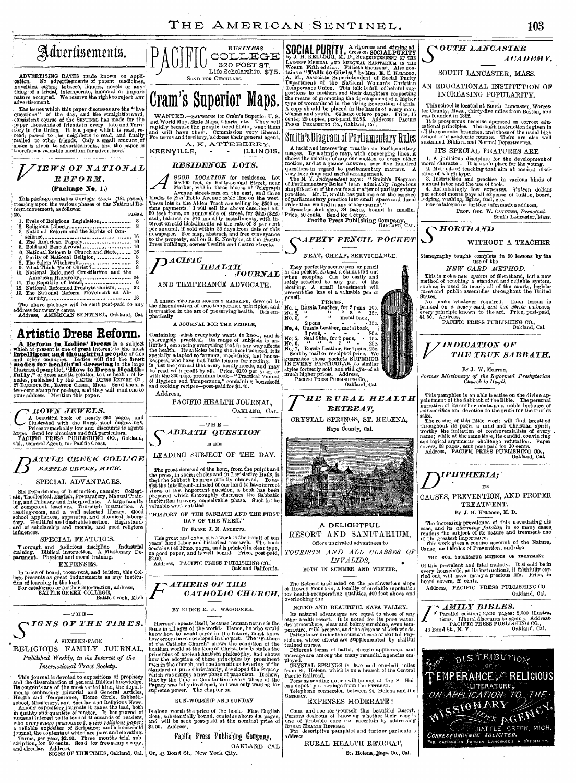# THE AMERICAN SENTINEL. 103



A Reform in Ladies' Dress is a subject which at present is one of grast interest to the most intelligent and thoughtful people of his and other countries. Ladies will find the best models for health full dressing in the la

 $\left( \begin{array}{c} {ROW}{N} \hspace{1mm} JEW}{ES}, \\ \hspace{1cm} \begin{array}{c} \begin{array}{c} \text{A beautiful book of nearly 650 pages, and} \\ \text{illustrated with the finest steel engravings.} \end{array} \\ \text{Prices remarkably low and discounts to agents} \\ \text{TargetC} \hspace{1mm} PAGF}{PS} \end{array} \right) \\ \begin{array}{c} \text{Larges:} \end{array} \\ \begin{array}{c} \text{A top of circulars and full particulars.} \\ \text{CA., General Agents for Pacific Cook.} \end{array} \end{array}$ 

*T)ATTLE CREEK COLL' GE BATTLE CREEK, MICH.* 

### SPECIAL ADVANTAGES.

Six Departments of Instruction, namely: Collegi-<br>ate, Theological, English, Preparatory, Manual Train-<br>ing, and Primary and Interpediate. A large faculty<br>of competent teachers. Thorough Instruction. A<br>reading-room, and a

SPECIAL FEATURES.

Thorough and judicious discipline. Industrial training. Biblical instruction, A Missionary De-partment. Physical and moral training. EXPENSES.

In price of board, room-rent, and tuition, this College presents as great inducements as any institucion of learning in the land.<br>
for oatalogues or further information, address,<br>
For catalogues or further information, add



A SIXTEEN-PAGE JOURNAL, *Published Weekly, in, the Interest of the International Tract Society.* 

This journal is devoted to expositions of prophecy<br>and the dissemination of general Biblical knowledge.<br>His contents are of the most varied kind, the depart-<br>ments embracing Editorial and General Articles,<br>Health and Temp



BOTH IN SUMMER AND WINTER.

The Retreat is situated on the southwestern slope of Howell Mountain a locality of enviable reputation for health-recuperating qualities, 400 feet above and overlooking the

Come and see for yourself this beautiful Resort.<br>Persons desirous of knowing whether their case is<br>one of probable cure can ascertain by addressing<br>RURAL HEALTH RETREAT.<br>For descriptive pamphlet and further particulars

address



# *S OUTH LANCASTER ACADEMY.*

SOUTH LANCASTER, MASS.

AN EDUCATIONAL INSTITUTION OF INCREASING POPULARITY.

This school is located at South Lancaster, Worces-ter County, Mass., thirty-five miles from Boston, and was founded in 1882.

It is prosperous because operated on correct educational principles. Thorough instruction is given in all the common branches, and those of the usual ligh school and academic courses. There are also well sustained Biblical

ITS SPECIAL FEATURES ARE

1. A judicious discipline for the development of moral character. It is a safe place for the young. 2. Methods of teaching that aim at mental disci-

pline of a high type.<br>
3. Instruction and practice in various kinds of<br>
3. Instruction and practice in various kinds of<br>
4. Ast mishingly low expenses. Sixteen dollars<br>
per school month pays all expense of tuition, board,<br>

Prof. Geo. W. Caviness, *Principal.*<br>South Lancaster, Mass.

 $\sim$  *HORTHAND* 

WITHOUT A TEACHER

Stenography taught complete in CO lessons **by the**  use of the

*NEW CARD METHOD.* 

This is not a *new system* of Shorthand, but a new method of teaching a standard and reliable system, such as is used in nearly all of the courts, legisla-tures and public assemblies throughout the United

States. No books whatever required. Each lesson is printed on a heavy card, and the *series* embrace, every principle known to the art. Price, post-paid, \$1 50. Address, PACIFIC PRESS PUBLISHING CO., Oakland, Cal.



### BY J. W. MORTON.

*Former Missionary of the Reformed Presbyterian Church to Hayti.* 

This pamphlet is an able treatise on the divine ap-pointment of the Sabbath of the Bible. The personal narrative of its author contains a noble instance of self-sacrifice and devotion to the truth for the truth's

sake.<br>The reader of this little work will find breathed<br>throughout its pages a mild and Christian spirit,<br>worthy the imitation of controversialists of every<br>name; while at the same time, its candid, convincing<br>and logical



TREATMENT.

BY J. H. KELLOGG, M. D.

The increasing prevalence of this devastating disease, and its *atterning fatality* in so many cases<br>renders the subject of its nature and treament one<br>of the greatest importance.<br>This work gives a concise account of the N

THE MOST SUCCESSFUL METHODS OF TREATMENT Of this prevalent and fatal malady. It should be in every household, as its instructions, if faithfully car-ried out, will save many a precious life. Price, in board covers, 25 cents.

Address, PACIFIC PRESS PUBLISHING CO Oakland, Cal.

*AMILY BIBLES.* 



- BATTLE CREEK, MICH**.**<br>*Correspondence soligited.*<br>Pub cations in Foreion Languages a specialty.



St. Helena, Napa Co., Cal.

Address, PACIFIC PRESS PUBLISHING CO., and California.

# BY ELDER E. J. WAGGONER.

Hrsronx repeats itself, because human nature is the same in all ages of the world- Hence, he who would be know how to avoid error in the future, must know how errors have developed in the past. The "Fathers be deatholic Ch

Is alone worth the price of the book. Fine English cloth, substantially bound, contains about 400 pages, and will be sent post-paid at the nominal price of

Pacific Press Publishing Company,

PACIFIC HEALTH JOURNAL,

 $-$  THE  $-$ *S ABBATII* Q*UESTION*  IS THE

The great demand of the hour, from the pulpit and<br>the press, in social circles and in Legislative Halls, is<br>that the Sabbath be more strictly observed. To as-<br>sists the intelligent-minded of our land to have correct<br>views

DAY OF THE WEEK.'

*CATHOLIC CHURCH.* 

# OAKLAND CAL

Or, 43 Bond St., New York City.

Containing what everybody wants to know, and is<br>thoroughly practical. Its range of subjects is un-<br>limited, embracing everything that in any way affects<br>the health. Its articles being short and pointed, it is<br>specially ada

Address,

LEADING SUBJECT OF THE DAY.

"HISTORY OF THE SABBATH AND THE FIRST

BY ELDER J. N. ANDREWS.

This great and exhaustive work is the result of ten years' hard labor and historical research. The book contains 648 12mo. pages, and is printed in clear type, on good paper, and is well bound. Price, post-paid, \$2.00.

### SUN-WORSHIP AND SUNDAY

\$1.00. Address,